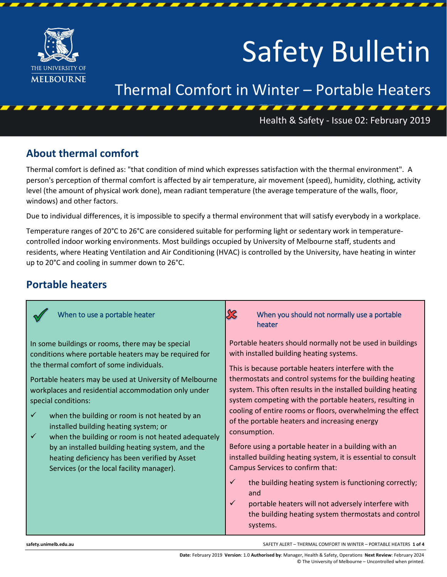

# Safety Bulletin

## Thermal Comfort in Winter – Portable Heaters

#### Health & Safety - Issue 02: February 2019

#### **About thermal comfort**

Thermal comfort is defined as: "that condition of mind which expresses satisfaction with the thermal environment". A person's perception of thermal comfort is affected by air temperature, air movement (speed), humidity, clothing, activity level (the amount of physical work done), mean radiant temperature (the average temperature of the walls, floor, windows) and other factors.

Due to individual differences, it is impossible to specify a thermal environment that will satisfy everybody in a workplace.

Temperature ranges of 20°C to 26°C are considered suitable for performing light or sedentary work in temperaturecontrolled indoor working environments. Most buildings occupied by University of Melbourne staff, students and residents, where Heating Ventilation and Air Conditioning (HVAC) is controlled by the University, have heating in winter up to 20°C and cooling in summer down to 26°C.

#### **Portable heaters**

| When to use a portable heater                                                                                                                                                                                                                                                                                                                                                                                                                                                                                                                                                                                                    | SS<br>When you should not normally use a portable<br>heater                                                                                                                                                                                                                                                                                                                                                                                                                                                                                                                                                                                                                                                                                                                                                                                                    |
|----------------------------------------------------------------------------------------------------------------------------------------------------------------------------------------------------------------------------------------------------------------------------------------------------------------------------------------------------------------------------------------------------------------------------------------------------------------------------------------------------------------------------------------------------------------------------------------------------------------------------------|----------------------------------------------------------------------------------------------------------------------------------------------------------------------------------------------------------------------------------------------------------------------------------------------------------------------------------------------------------------------------------------------------------------------------------------------------------------------------------------------------------------------------------------------------------------------------------------------------------------------------------------------------------------------------------------------------------------------------------------------------------------------------------------------------------------------------------------------------------------|
| In some buildings or rooms, there may be special<br>conditions where portable heaters may be required for<br>the thermal comfort of some individuals.<br>Portable heaters may be used at University of Melbourne<br>workplaces and residential accommodation only under<br>special conditions:<br>when the building or room is not heated by an<br>$\checkmark$<br>installed building heating system; or<br>when the building or room is not heated adequately<br>$\checkmark$<br>by an installed building heating system, and the<br>heating deficiency has been verified by Asset<br>Services (or the local facility manager). | Portable heaters should normally not be used in buildings<br>with installed building heating systems.<br>This is because portable heaters interfere with the<br>thermostats and control systems for the building heating<br>system. This often results in the installed building heating<br>system competing with the portable heaters, resulting in<br>cooling of entire rooms or floors, overwhelming the effect<br>of the portable heaters and increasing energy<br>consumption.<br>Before using a portable heater in a building with an<br>installed building heating system, it is essential to consult<br>Campus Services to confirm that:<br>✓<br>the building heating system is functioning correctly;<br>and<br>$\checkmark$<br>portable heaters will not adversely interfere with<br>the building heating system thermostats and control<br>systems. |

**[safety.unimelb.edu.au](http://safety.unimelb.edu.au/)** SAFETY ALERT – THERMAL COMFORT IN WINTER – PORTABLE HEATERS **1 of 4**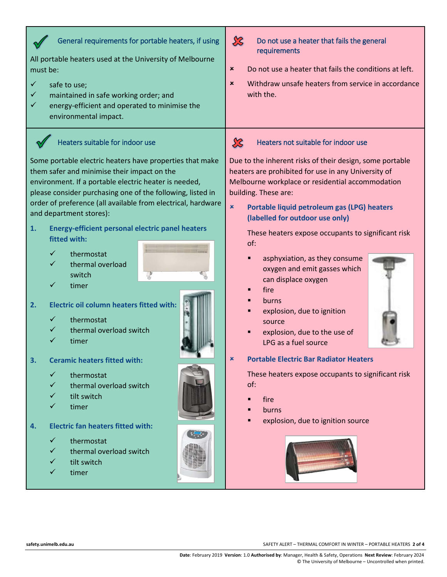| General requirements for portable heaters, if using<br>All portable heaters used at the University of Melbourne<br>must be:<br>$\checkmark$<br>safe to use;<br>✓<br>maintained in safe working order; and<br>✓<br>energy-efficient and operated to minimise the<br>environmental impact.                                                                                                                                                                                                                                                                                                                                                                                                                                                                                                                                                                                                                                    | $\chi$<br>Do not use a heater that fails the general<br>requirements<br>Do not use a heater that fails the conditions at left.<br>$\boldsymbol{\mathsf{x}}$<br>Withdraw unsafe heaters from service in accordance<br>$\pmb{\times}$<br>with the.                                                                                                                                                                                                                                                                                                                                                                                                                                                                                                                                           |
|-----------------------------------------------------------------------------------------------------------------------------------------------------------------------------------------------------------------------------------------------------------------------------------------------------------------------------------------------------------------------------------------------------------------------------------------------------------------------------------------------------------------------------------------------------------------------------------------------------------------------------------------------------------------------------------------------------------------------------------------------------------------------------------------------------------------------------------------------------------------------------------------------------------------------------|--------------------------------------------------------------------------------------------------------------------------------------------------------------------------------------------------------------------------------------------------------------------------------------------------------------------------------------------------------------------------------------------------------------------------------------------------------------------------------------------------------------------------------------------------------------------------------------------------------------------------------------------------------------------------------------------------------------------------------------------------------------------------------------------|
| Heaters suitable for indoor use<br>Some portable electric heaters have properties that make<br>them safer and minimise their impact on the<br>environment. If a portable electric heater is needed,<br>please consider purchasing one of the following, listed in<br>order of preference (all available from electrical, hardware<br>and department stores):<br>1.<br><b>Energy-efficient personal electric panel heaters</b><br>fitted with:<br>$\checkmark$<br>thermostat<br>✓<br>thermal overload<br>switch<br>✓<br>timer<br><b>Electric oil column heaters fitted with:</b><br>2.<br>✓<br>thermostat<br>thermal overload switch<br>✓<br>timer<br><b>Ceramic heaters fitted with:</b><br>3.<br>✓<br>thermostat<br>thermal overload switch<br>✓<br>tilt switch<br>✓<br>timer<br>✓<br><b>Electric fan heaters fitted with:</b><br>4.<br>thermostat<br>$\checkmark$<br>thermal overload switch<br>✓<br>tilt switch<br>timer | $\chi$<br>Heaters not suitable for indoor use<br>Due to the inherent risks of their design, some portable<br>heaters are prohibited for use in any University of<br>Melbourne workplace or residential accommodation<br>building. These are:<br>$\pmb{\times}$<br>Portable liquid petroleum gas (LPG) heaters<br>(labelled for outdoor use only)<br>These heaters expose occupants to significant risk<br>of:<br>asphyxiation, as they consume<br>oxygen and emit gasses which<br>can displace oxygen<br>fire<br>burns<br>explosion, due to ignition<br>source<br>explosion, due to the use of<br>LPG as a fuel source<br><b>Portable Electric Bar Radiator Heaters</b><br>These heaters expose occupants to significant risk<br>of:<br>fire<br>burns<br>explosion, due to ignition source |
| safety.unimelb.edu.au                                                                                                                                                                                                                                                                                                                                                                                                                                                                                                                                                                                                                                                                                                                                                                                                                                                                                                       | SAFETY ALERT - THERMAL COMFORT IN WINTER - PORTABLE HEATERS 2 of 4                                                                                                                                                                                                                                                                                                                                                                                                                                                                                                                                                                                                                                                                                                                         |

Г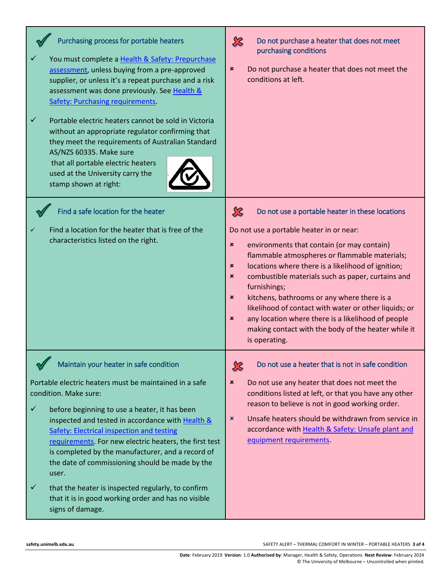| Purchasing process for portable heaters<br>You must complete a Health & Safety: Prepurchase<br>assessment, unless buying from a pre-approved<br>supplier, or unless it's a repeat purchase and a risk<br>assessment was done previously. See Health &<br><b>Safety: Purchasing requirements.</b><br>$\checkmark$<br>Portable electric heaters cannot be sold in Victoria<br>without an appropriate regulator confirming that<br>they meet the requirements of Australian Standard<br>AS/NZS 60335. Make sure<br>that all portable electric heaters<br>used at the University carry the<br>stamp shown at right: | $\chi$<br>Do not purchase a heater that does not meet<br>purchasing conditions<br>Do not purchase a heater that does not meet the<br>×<br>conditions at left.                                                                                                                                                                                                                                                                                                                                                                                                                                                                                                 |
|-----------------------------------------------------------------------------------------------------------------------------------------------------------------------------------------------------------------------------------------------------------------------------------------------------------------------------------------------------------------------------------------------------------------------------------------------------------------------------------------------------------------------------------------------------------------------------------------------------------------|---------------------------------------------------------------------------------------------------------------------------------------------------------------------------------------------------------------------------------------------------------------------------------------------------------------------------------------------------------------------------------------------------------------------------------------------------------------------------------------------------------------------------------------------------------------------------------------------------------------------------------------------------------------|
| Find a safe location for the heater<br>Find a location for the heater that is free of the<br>characteristics listed on the right.                                                                                                                                                                                                                                                                                                                                                                                                                                                                               | $\chi$<br>Do not use a portable heater in these locations<br>Do not use a portable heater in or near:<br>$\pmb{\times}$<br>environments that contain (or may contain)<br>flammable atmospheres or flammable materials;<br>locations where there is a likelihood of ignition;<br>×<br>combustible materials such as paper, curtains and<br>$\pmb{\times}$<br>furnishings;<br>kitchens, bathrooms or any where there is a<br>$\pmb{\times}$<br>likelihood of contact with water or other liquids; or<br>any location where there is a likelihood of people<br>$\boldsymbol{\mathsf{x}}$<br>making contact with the body of the heater while it<br>is operating. |
| Maintain your heater in safe condition<br>Portable electric heaters must be maintained in a safe<br>condition. Make sure:<br>✓<br>before beginning to use a heater, it has been<br>inspected and tested in accordance with Health &<br>Safety: Electrical inspection and testing<br>requirements. For new electric heaters, the first test<br>is completed by the manufacturer, and a record of<br>the date of commissioning should be made by the<br>user.<br>$\checkmark$<br>that the heater is inspected regularly, to confirm<br>that it is in good working order and has no visible<br>signs of damage.    | Do not use a heater that is not in safe condition<br>$\chi$<br>$\pmb{\times}$<br>Do not use any heater that does not meet the<br>conditions listed at left, or that you have any other<br>reason to believe is not in good working order.<br>Unsafe heaters should be withdrawn from service in<br>×<br>accordance with Health & Safety: Unsafe plant and<br>equipment requirements.                                                                                                                                                                                                                                                                          |

**[safety.unimelb.edu.au](http://safety.unimelb.edu.au/)** SAFETY ALERT – THERMAL COMFORT IN WINTER – PORTABLE HEATERS **3 of 4**